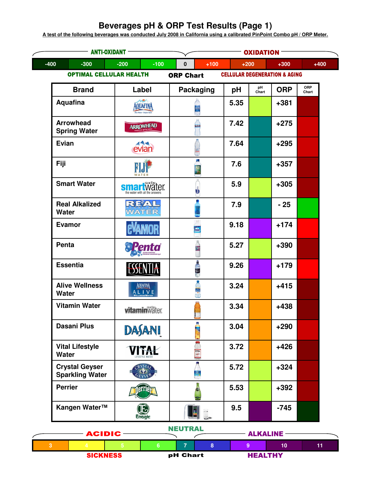## **Beverages pH & ORP Test Results (Page 1)**

<u>A test of the following beverages was conducted July 2008 in California using a calibrated PinPoint Combo pH / ORP Meter.</u>

| $-400$<br>$-200$<br>$-300$<br>$-100$<br>$+100$<br>$+200$<br>$+300$<br>0<br><b>OPTIMAL CELLULAR HEALTH</b><br><b>CELLULAR DEGENERATION &amp; AGING</b><br><b>ORP Chart</b><br>pH<br>Chart<br><b>ORP</b><br><b>Brand</b><br>Packaging<br>Label<br>рH<br><b>Aquafina</b><br>5.35<br>$+381$<br>AQUAFINA<br>re Water - Perfect Tax<br><b>Arrowhead</b><br>7.42<br>$+275$<br><b>ARROWHEAD</b><br>فتناها<br><b>Spring Water</b><br>Evian<br>7.64<br>$+295$<br>evian<br>L.<br>Fiji<br>7.6<br>$+357$<br><b>NJ</b><br><b>Smart Water</b><br>5.9<br>$+305$<br>smartwäter.<br>the water with all the answer<br>REAL<br><b>Real Alkalized</b><br>7.9<br>$-25$<br><b>WATER</b><br>Water<br>Evamor<br>9.18<br>$+174$<br>:Vamor<br>Penta<br>5.27<br>$+390$<br><b>Essentia</b><br>9.26<br>$+179$<br>A<br><b>Alive Wellness</b><br>3.24<br>AQUAFINA<br>$+415$<br><b>M</b><br>ALIVE<br><b>Water</b><br>t.<br><b>Vitamin Water</b><br>3.34<br>$+438$<br><b>vitamin</b> Wäter<br>i.<br><b>Dasani Plus</b><br>3.04<br>$+290$<br>DASANI<br>F<br><b>Vital Lifestyle</b><br>3.72<br>$+426$<br><b>ITAL</b><br>VITAL<br>VITAL<br><b>Water</b><br><b>Crystal Geyser</b><br>5.72<br>$+324$<br>R <sub>1</sub> ST <sub>A</sub><br><b>Sparkling Water</b><br>ti o<br><b>Perrier</b><br>5.53<br>$+392$<br>errien<br>Kangen Water™<br>9.5<br>$-745$ | – ANTI-OXIDANT - | <b>OXIDATION -</b> |     |  |  |        |              |
|-------------------------------------------------------------------------------------------------------------------------------------------------------------------------------------------------------------------------------------------------------------------------------------------------------------------------------------------------------------------------------------------------------------------------------------------------------------------------------------------------------------------------------------------------------------------------------------------------------------------------------------------------------------------------------------------------------------------------------------------------------------------------------------------------------------------------------------------------------------------------------------------------------------------------------------------------------------------------------------------------------------------------------------------------------------------------------------------------------------------------------------------------------------------------------------------------------------------------------------------------------------------------------------------------------------------|------------------|--------------------|-----|--|--|--------|--------------|
|                                                                                                                                                                                                                                                                                                                                                                                                                                                                                                                                                                                                                                                                                                                                                                                                                                                                                                                                                                                                                                                                                                                                                                                                                                                                                                                   |                  |                    |     |  |  | $+400$ |              |
|                                                                                                                                                                                                                                                                                                                                                                                                                                                                                                                                                                                                                                                                                                                                                                                                                                                                                                                                                                                                                                                                                                                                                                                                                                                                                                                   |                  |                    |     |  |  |        |              |
|                                                                                                                                                                                                                                                                                                                                                                                                                                                                                                                                                                                                                                                                                                                                                                                                                                                                                                                                                                                                                                                                                                                                                                                                                                                                                                                   |                  |                    |     |  |  |        | ORP<br>Chart |
|                                                                                                                                                                                                                                                                                                                                                                                                                                                                                                                                                                                                                                                                                                                                                                                                                                                                                                                                                                                                                                                                                                                                                                                                                                                                                                                   |                  |                    |     |  |  |        |              |
|                                                                                                                                                                                                                                                                                                                                                                                                                                                                                                                                                                                                                                                                                                                                                                                                                                                                                                                                                                                                                                                                                                                                                                                                                                                                                                                   |                  |                    |     |  |  |        |              |
|                                                                                                                                                                                                                                                                                                                                                                                                                                                                                                                                                                                                                                                                                                                                                                                                                                                                                                                                                                                                                                                                                                                                                                                                                                                                                                                   |                  |                    |     |  |  |        |              |
|                                                                                                                                                                                                                                                                                                                                                                                                                                                                                                                                                                                                                                                                                                                                                                                                                                                                                                                                                                                                                                                                                                                                                                                                                                                                                                                   |                  |                    |     |  |  |        |              |
|                                                                                                                                                                                                                                                                                                                                                                                                                                                                                                                                                                                                                                                                                                                                                                                                                                                                                                                                                                                                                                                                                                                                                                                                                                                                                                                   |                  |                    |     |  |  |        |              |
|                                                                                                                                                                                                                                                                                                                                                                                                                                                                                                                                                                                                                                                                                                                                                                                                                                                                                                                                                                                                                                                                                                                                                                                                                                                                                                                   |                  |                    |     |  |  |        |              |
|                                                                                                                                                                                                                                                                                                                                                                                                                                                                                                                                                                                                                                                                                                                                                                                                                                                                                                                                                                                                                                                                                                                                                                                                                                                                                                                   |                  |                    |     |  |  |        |              |
|                                                                                                                                                                                                                                                                                                                                                                                                                                                                                                                                                                                                                                                                                                                                                                                                                                                                                                                                                                                                                                                                                                                                                                                                                                                                                                                   |                  |                    |     |  |  |        |              |
|                                                                                                                                                                                                                                                                                                                                                                                                                                                                                                                                                                                                                                                                                                                                                                                                                                                                                                                                                                                                                                                                                                                                                                                                                                                                                                                   |                  |                    |     |  |  |        |              |
|                                                                                                                                                                                                                                                                                                                                                                                                                                                                                                                                                                                                                                                                                                                                                                                                                                                                                                                                                                                                                                                                                                                                                                                                                                                                                                                   |                  |                    |     |  |  |        |              |
|                                                                                                                                                                                                                                                                                                                                                                                                                                                                                                                                                                                                                                                                                                                                                                                                                                                                                                                                                                                                                                                                                                                                                                                                                                                                                                                   |                  |                    |     |  |  |        |              |
|                                                                                                                                                                                                                                                                                                                                                                                                                                                                                                                                                                                                                                                                                                                                                                                                                                                                                                                                                                                                                                                                                                                                                                                                                                                                                                                   |                  |                    |     |  |  |        |              |
|                                                                                                                                                                                                                                                                                                                                                                                                                                                                                                                                                                                                                                                                                                                                                                                                                                                                                                                                                                                                                                                                                                                                                                                                                                                                                                                   |                  |                    |     |  |  |        |              |
|                                                                                                                                                                                                                                                                                                                                                                                                                                                                                                                                                                                                                                                                                                                                                                                                                                                                                                                                                                                                                                                                                                                                                                                                                                                                                                                   |                  |                    |     |  |  |        |              |
|                                                                                                                                                                                                                                                                                                                                                                                                                                                                                                                                                                                                                                                                                                                                                                                                                                                                                                                                                                                                                                                                                                                                                                                                                                                                                                                   |                  |                    |     |  |  |        |              |
| Enagic                                                                                                                                                                                                                                                                                                                                                                                                                                                                                                                                                                                                                                                                                                                                                                                                                                                                                                                                                                                                                                                                                                                                                                                                                                                                                                            |                  | $\mathbf{E}$       | HJ. |  |  |        |              |

| <b>ACIDIC</b> |                 | .               |  |  | <b>ALKALINE</b> |                |    |  |
|---------------|-----------------|-----------------|--|--|-----------------|----------------|----|--|
|               |                 |                 |  |  |                 |                | 11 |  |
|               | <b>SICKNESS</b> | <b>pH Chart</b> |  |  |                 | <b>HEALTHY</b> |    |  |